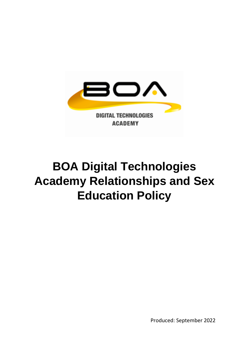

# **BOA Digital Technologies Academy Relationships and Sex Education Policy**

Produced: September 2022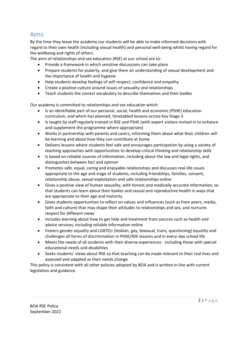## Aims

By the time they leave the academy our students will be able to make informed decisions with regard to their own health (including sexual health) and personal well-being whilst having regard for the wellbeing and rights of others.

The aims of relationships and sex education (RSE) at our school are to:

- Provide a framework in which sensitive discussions can take place
- Prepare students for puberty, and give them an understanding of sexual development and the importance of health and hygiene
- Help students develop feelings of self-respect, confidence and empathy
- Create a positive culture around issues of sexuality and relationships
- Teach students the correct vocabulary to describe themselves and their bodies

Our academy is committed to relationships and sex education which:

- Is an identifiable part of our personal, social, health and economic (PSHE) education curriculum, and which has planned, timetabled lessons across Key Stage 3
- Is taught by staff regularly trained in RSE and PSHE (with expert visitors invited in to enhance and supplement the programme where appropriate)
- Works in partnership with parents and carers, informing them about what their children will be learning and about how they can contribute at home
- Delivers lessons where students feel safe and encourages participation by using a variety of teaching approaches with opportunities to develop critical thinking and relationship skills
- Is based on reliable sources of information, including about the law and legal rights, and distinguishes between fact and opinion
- Promotes safe, equal, caring and enjoyable relationships and discusses real-life issues appropriate to the age and stage of students, including friendships, families, consent, relationship abuse, sexual exploitation and safe relationships online
- Gives a positive view of human sexuality, with honest and medically accurate information, so that students can learn about their bodies and sexual and reproductive health in ways that are appropriate to their age and maturity
- Gives students opportunities to reflect on values and influences (such as from peers, media, faith and culture) that may shape their attitudes to relationships and sex, and nurtures respect for different views
- Includes learning about how to get help and treatment from sources such as health and advice services, including reliable information online
- Fosters gender equality and LGBTQ+ (lesbian, gay, bisexual, trans, questioning) equality and challenges all forms of discrimination in PHSE/RSE lessons and in every-day school life
- Meets the needs of all students with their diverse experiences including those with special educational needs and disabilities
- Seeks students' views about RSE so that teaching can be made relevant to their real lives and assessed and adapted as their needs change

This policy is consistent with all other policies adopted by BOA and is written in line with current legislation and guidance.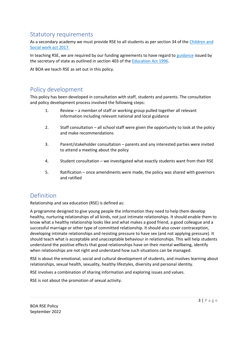# Statutory requirements

As a secondary academy we must provide RSE to all students as per section 34 of the [Children and](http://www.legislation.gov.uk/ukpga/2017/16/section/34/enacted)  [Social work act 2017.](http://www.legislation.gov.uk/ukpga/2017/16/section/34/enacted)

In teaching RSE, we are required by our funding agreements to have regard t[o guidance](https://www.gov.uk/government/consultations/relationships-and-sex-education-and-health-education) issued by the secretary of state as outlined in section 403 of th[e Education Act 1996.](http://www.legislation.gov.uk/ukpga/1996/56/contents)

At BOA we teach RSE as set out in this policy.

# Policy development

This policy has been developed in consultation with staff, students and parents. The consultation and policy development process involved the following steps:

- 1. Review a member of staff or working group pulled together all relevant information including relevant national and local guidance
- 2. Staff consultation all school staff were given the opportunity to look at the policy and make recommendations
- 3. Parent/stakeholder consultation parents and any interested parties were invited to attend a meeting about the policy
- 4. Student consultation we investigated what exactly students want from their RSE
- 5. Ratification once amendments were made, the policy was shared with governors and ratified

# Definition

Relationship and sex education (RSE) is defined as:

A programme designed to give young people the information they need to help them develop healthy, nurturing relationships of all kinds, not just intimate relationships. It should enable them to know what a healthy relationship looks like and what makes a good friend, a good colleague and a successful marriage or other type of committed relationship. It should also cover contraception, developing intimate relationships and resisting pressure to have sex (and not applying pressure). It should teach what is acceptable and unacceptable behaviour in relationships. This will help students understand the positive effects that good relationships have on their mental wellbeing, identify when relationships are not right and understand how such situations can be managed.

RSE is about the emotional, social and cultural development of students, and involves learning about relationships, sexual health, sexuality, healthy lifestyles, diversity and personal identity.

RSE involves a combination of sharing information and exploring issues and values.

RSE is not about the promotion of sexual activity.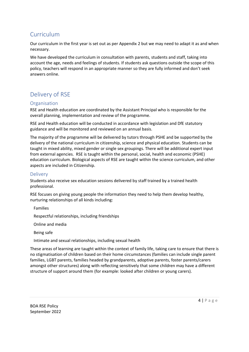# Curriculum

Our curriculum in the first year is set out as per Appendix 2 but we may need to adapt it as and when necessary.

We have developed the curriculum in consultation with parents, students and staff, taking into account the age, needs and feelings of students. If students ask questions outside the scope of this policy, teachers will respond in an appropriate manner so they are fully informed and don't seek answers online.

# Delivery of RSE

#### Organisation

RSE and Health education are coordinated by the Assistant Principal who is responsible for the overall planning, implementation and review of the programme.

RSE and Health education will be conducted in accordance with legislation and DfE statutory guidance and will be monitored and reviewed on an annual basis.

The majority of the programme will be delivered by tutors through PSHE and be supported by the delivery of the national curriculum in citizenship, science and physical education. Students can be taught in mixed ability, mixed gender or single sex groupings. There will be additional expert input from external agencies. RSE is taught within the personal, social, health and economic (PSHE) education curriculum. Biological aspects of RSE are taught within the science curriculum, and other aspects are included in Citizenship.

## **Delivery**

Students also receive sex education sessions delivered by staff trained by a trained health professional.

RSE focuses on giving young people the information they need to help them develop healthy, nurturing relationships of all kinds including:

Families

Respectful relationships, including friendships

Online and media

Being safe

Intimate and sexual relationships, including sexual health

These areas of learning are taught within the context of family life, taking care to ensure that there is no stigmatisation of children based on their home circumstances (families can include single parent families, LGBT parents, families headed by grandparents, adoptive parents, foster parents/carers amongst other structures) along with reflecting sensitively that some children may have a different structure of support around them (for example: looked after children or young carers).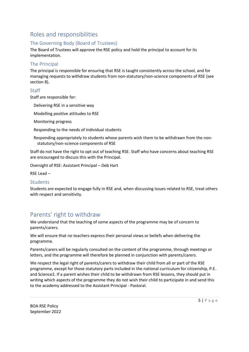# Roles and responsibilities

## The Governing Body (Board of Trustees)

The Board of Trustees will approve the RSE policy and hold the principal to account for its implementation.

#### The Principal

The principal is responsible for ensuring that RSE is taught consistently across the school, and for managing requests to withdraw students from non-statutory/non-science components of RSE (see section 8).

#### Staff

Staff are responsible for:

Delivering RSE in a sensitive way

Modelling positive attitudes to RSE

Monitoring progress

Responding to the needs of individual students

Responding appropriately to students whose parents wish them to be withdrawn from the nonstatutory/non-science components of RSE

Staff do not have the right to opt out of teaching RSE. Staff who have concerns about teaching RSE are encouraged to discuss this with the Principal.

Oversight of RSE: Assistant Principal – Deb Hart

RSE Lead –

#### Students

Students are expected to engage fully in RSE and, when discussing issues related to RSE, treat others with respect and sensitivity.

# Parents' right to withdraw

We understand that the teaching of some aspects of the programme may be of concern to parents/carers.

We will ensure that no teachers express their personal views or beliefs when delivering the programme.

Parents/carers will be regularly consulted on the content of the programme, through meetings or letters, and the programme will therefore be planned in conjunction with parents/carers.

We respect the legal right of parents/carers to withdraw their child from all or part of the RSE programme, except for those statutory parts included in the national curriculum for citizenship, P.E. and Science2. If a parent wishes their child to be withdrawn from RSE lessons, they should put in writing which aspects of the programme they do not wish their child to participate in and send this to the academy addressed to the Assistant Principal - Pastoral.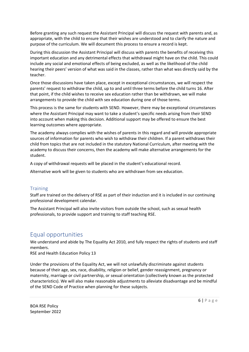Before granting any such request the Assistant Principal will discuss the request with parents and, as appropriate, with the child to ensure that their wishes are understood and to clarify the nature and purpose of the curriculum. We will document this process to ensure a record is kept.

During this discussion the Assistant Principal will discuss with parents the benefits of receiving this important education and any detrimental effects that withdrawal might have on the child. This could include any social and emotional effects of being excluded, as well as the likelihood of the child hearing their peers' version of what was said in the classes, rather than what was directly said by the teacher.

Once those discussions have taken place, except in exceptional circumstances, we will respect the parents' request to withdraw the child, up to and until three terms before the child turns 16. After that point, if the child wishes to receive sex education rather than be withdrawn, we will make arrangements to provide the child with sex education during one of those terms.

This process is the same for students with SEND. However, there may be exceptional circumstances where the Assistant Principal may want to take a student's specific needs arising from their SEND into account when making this decision. Additional support may be offered to ensure the best learning outcomes where appropriate.

The academy always complies with the wishes of parents in this regard and will provide appropriate sources of information for parents who wish to withdraw their children. If a parent withdraws their child from topics that are not included in the statutory National Curriculum, after meeting with the academy to discuss their concerns, then the academy will make alternative arrangements for the student.

A copy of withdrawal requests will be placed in the student's educational record.

Alternative work will be given to students who are withdrawn from sex education.

#### **Training**

Staff are trained on the delivery of RSE as part of their induction and it is included in our continuing professional development calendar.

The Assistant Principal will also invite visitors from outside the school, such as sexual health professionals, to provide support and training to staff teaching RSE.

## Equal opportunities

We understand and abide by The Equality Act 2010, and fully respect the rights of students and staff members.

RSE and Health Education Policy 13

Under the provisions of the Equality Act, we will not unlawfully discriminate against students because of their age, sex, race, disability, religion or belief, gender reassignment, pregnancy or maternity, marriage or civil partnership, or sexual orientation (collectively known as the protected characteristics). We will also make reasonable adjustments to alleviate disadvantage and be mindful of the SEND Code of Practice when planning for these subjects.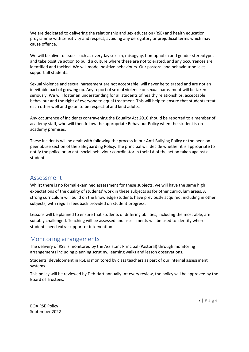We are dedicated to delivering the relationship and sex education (RSE) and health education programme with sensitivity and respect, avoiding any derogatory or prejudicial terms which may cause offence.

We will be alive to issues such as everyday sexism, misogyny, homophobia and gender stereotypes and take positive action to build a culture where these are not tolerated, and any occurrences are identified and tackled. We will model positive behaviours. Our pastoral and behaviour policies support all students.

Sexual violence and sexual harassment are not acceptable, will never be tolerated and are not an inevitable part of growing up. Any report of sexual violence or sexual harassment will be taken seriously. We will foster an understanding for all students of healthy relationships, acceptable behaviour and the right of everyone to equal treatment. This will help to ensure that students treat each other well and go on to be respectful and kind adults.

Any occurrence of incidents contravening the Equality Act 2010 should be reported to a member of academy staff, who will then follow the appropriate Behaviour Policy when the student is on academy premises.

These incidents will be dealt with following the process in our Anti-Bullying Policy or the peer-onpeer abuse section of the Safeguarding Policy. The principal will decide whether it is appropriate to notify the police or an anti-social behaviour coordinator in their LA of the action taken against a student.

## Assessment

Whilst there is no formal examined assessment for these subjects, we will have the same high expectations of the quality of students' work in these subjects as for other curriculum areas. A strong curriculum will build on the knowledge students have previously acquired, including in other subjects, with regular feedback provided on student progress.

Lessons will be planned to ensure that students of differing abilities, including the most able, are suitably challenged. Teaching will be assessed and assessments will be used to identify where students need extra support or intervention.

## Monitoring arrangements

The delivery of RSE is monitored by the Assistant Principal (Pastoral) through monitoring arrangements including planning scrutiny, learning walks and lesson observations.

Students' development in RSE is monitored by class teachers as part of our internal assessment systems.

This policy will be reviewed by Deb Hart annually. At every review, the policy will be approved by the Board of Trustees.

BOA RSE Policy September 2022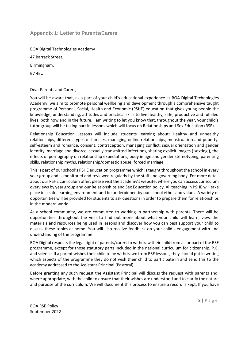### **Appendix 1: Letter to Parents/Carers**

BOA Digital Technologies Academy 47 Barrack Street, Birmingham, B7 4EU

Dear Parents and Carers,

You will be aware that, as a part of your child's educational experience at BOA Digital Technologies Academy, we aim to promote personal wellbeing and development through a comprehensive taught programme of Personal, Social, Health and Economic (PSHE) education that gives young people the knowledge, understanding, attitudes and practical skills to live healthy, safe, productive and fulfilled lives, both now and in the future. I am writing to let you know that, throughout the year, your child's tutor group will be taking part in lessons which will focus on Relationships and Sex Education (RSE).

Relationship Education Lessons will include students learning about: Healthy and unhealthy relationships, different types of families, managing online relationships, menstruation and puberty, self-esteem and romance, consent, contraception, managing conflict, sexual orientation and gender identity, marriage and divorce, sexually transmitted infections, sharing explicit images ('sexting'), the effects of pornography on relationship expectations, body image and gender stereotyping, parenting skills, relationship myths, relationship/domestic abuse, forced marriage.

This is part of our school's PSHE education programme which is taught throughout the school in every year group and is monitored and reviewed regularly by the staff and governing body. For more detail about our PSHE curriculum offer, please visit the academy's website, where you can access curriculum overviews by year group and our Relationships and Sex Education policy. All teaching in PSHE will take place in a safe learning environment and be underpinned by our school ethos and values. A variety of opportunities will be provided for students to ask questions in order to prepare them for relationships in the modern world.

As a school community, we are committed to working in partnership with parents. There will be opportunities throughout the year to find out more about what your child will learn, view the materials and resources being used in lessons and discover how you can best support your child to discuss these topics at home. You will also receive feedback on your child's engagement with and understanding of the programme.

BOA Digital respects the legal right of parents/carers to withdraw their child from all or part of the RSE programme, except for those statutory parts included in the national curriculum for citizenship, P.E. and science. If a parent wishes their child to be withdrawn from RSE lessons, they should put in writing which aspects of the programme they do not wish their child to participate in and send this to the academy addressed to the Assistant Principal (Pastoral).

Before granting any such request the Assistant Principal will discuss the request with parents and, where appropriate, with the child to ensure that their wishes are understood and to clarify the nature and purpose of the curriculum. We will document this process to ensure a record is kept. If you have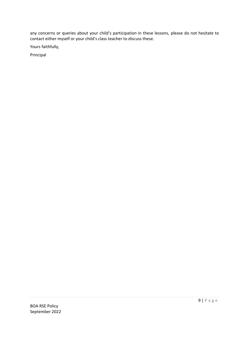any concerns or queries about your child's participation in these lessons, please do not hesitate to contact either myself or your child's class teacher to discuss these.

Yours faithfully,

Principal